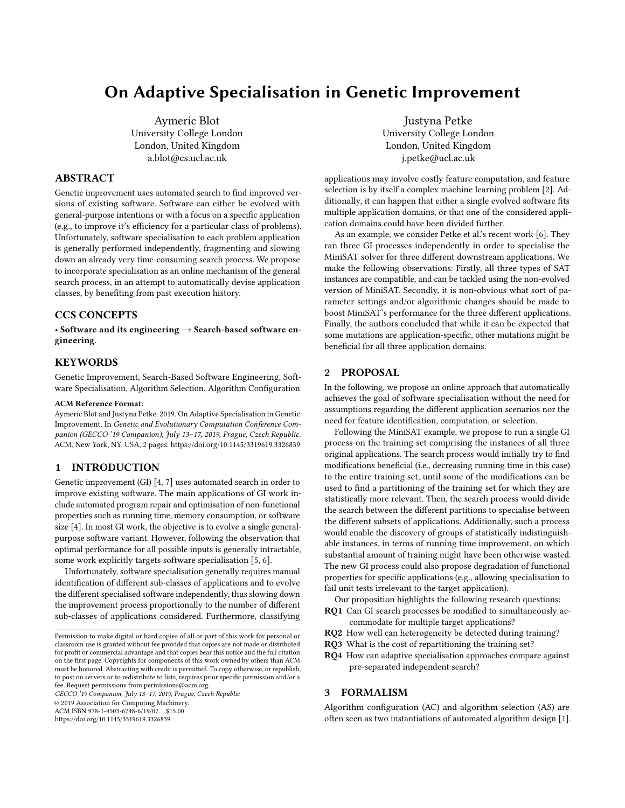# On Adaptive Specialisation in Genetic Improvement

Aymeric Blot University College London London, United Kingdom a.blot@cs.ucl.ac.uk

## ABSTRACT

Genetic improvement uses automated search to find improved versions of existing software. Software can either be evolved with general-purpose intentions or with a focus on a specific application (e.g., to improve it's efficiency for a particular class of problems). Unfortunately, software specialisation to each problem application is generally performed independently, fragmenting and slowing down an already very time-consuming search process. We propose to incorporate specialisation as an online mechanism of the general search process, in an attempt to automatically devise application classes, by benefiting from past execution history.

# CCS CONCEPTS

• Software and its engineering  $\rightarrow$  Search-based software engineering.

#### **KEYWORDS**

Genetic Improvement, Search-Based Software Engineering, Software Specialisation, Algorithm Selection, Algorithm Configuration

#### ACM Reference Format:

Aymeric Blot and Justyna Petke. 2019. On Adaptive Specialisation in Genetic Improvement. In Genetic and Evolutionary Computation Conference Companion (GECCO '19 Companion), July 13–17, 2019, Prague, Czech Republic. ACM, New York, NY, USA, [2](#page-1-0) pages.<https://doi.org/10.1145/3319619.3326839>

### 1 INTRODUCTION

Genetic improvement (GI) [\[4,](#page-1-1) [7\]](#page-1-2) uses automated search in order to improve existing software. The main applications of GI work include automated program repair and optimisation of non-functional properties such as running time, memory consumption, or software size [\[4\]](#page-1-1). In most GI work, the objective is to evolve a single generalpurpose software variant. However, following the observation that optimal performance for all possible inputs is generally intractable, some work explicitly targets software specialisation [\[5,](#page-1-3) [6\]](#page-1-4).

Unfortunately, software specialisation generally requires manual identification of different sub-classes of applications and to evolve the different specialised software independently, thus slowing down the improvement process proportionally to the number of different sub-classes of applications considered. Furthermore, classifying

GECCO '19 Companion, July 13–17, 2019, Prague, Czech Republic

© 2019 Association for Computing Machinery.

ACM ISBN 978-1-4503-6748-6/19/07. . . \$15.00

<https://doi.org/10.1145/3319619.3326839>

Justyna Petke University College London London, United Kingdom j.petke@ucl.ac.uk

applications may involve costly feature computation, and feature selection is by itself a complex machine learning problem [\[2\]](#page-1-5). Additionally, it can happen that either a single evolved software fits multiple application domains, or that one of the considered application domains could have been divided further.

As an example, we consider Petke et al.'s recent work [\[6\]](#page-1-4). They ran three GI processes independently in order to specialise the MiniSAT solver for three different downstream applications. We make the following observations: Firstly, all three types of SAT instances are compatible, and can be tackled using the non-evolved version of MiniSAT. Secondly, it is non-obvious what sort of parameter settings and/or algorithmic changes should be made to boost MiniSAT's performance for the three different applications. Finally, the authors concluded that while it can be expected that some mutations are application-specific, other mutations might be beneficial for all three application domains.

### 2 PROPOSAL

In the following, we propose an online approach that automatically achieves the goal of software specialisation without the need for assumptions regarding the different application scenarios nor the need for feature identification, computation, or selection.

Following the MiniSAT example, we propose to run a single GI process on the training set comprising the instances of all three original applications. The search process would initially try to find modifications beneficial (i.e., decreasing running time in this case) to the entire training set, until some of the modifications can be used to find a partitioning of the training set for which they are statistically more relevant. Then, the search process would divide the search between the different partitions to specialise between the different subsets of applications. Additionally, such a process would enable the discovery of groups of statistically indistinguishable instances, in terms of running time improvement, on which substantial amount of training might have been otherwise wasted. The new GI process could also propose degradation of functional properties for specific applications (e.g., allowing specialisation to fail unit tests irrelevant to the target application).

Our proposition highlights the following research questions:

- RQ1 Can GI search processes be modified to simultaneously accommodate for multiple target applications?
- RQ2 How well can heterogeneity be detected during training?
- RQ3 What is the cost of repartitioning the training set?
- RQ4 How can adaptive specialisation approaches compare against pre-separated independent search?

### 3 FORMALISM

Algorithm configuration (AC) and algorithm selection (AS) are often seen as two instantiations of automated algorithm design [\[1\]](#page-1-6).

Permission to make digital or hard copies of all or part of this work for personal or classroom use is granted without fee provided that copies are not made or distributed for profit or commercial advantage and that copies bear this notice and the full citation on the first page. Copyrights for components of this work owned by others than ACM must be honored. Abstracting with credit is permitted. To copy otherwise, or republish, to post on servers or to redistribute to lists, requires prior specific permission and/or a fee. Request permissions from permissions@acm.org.